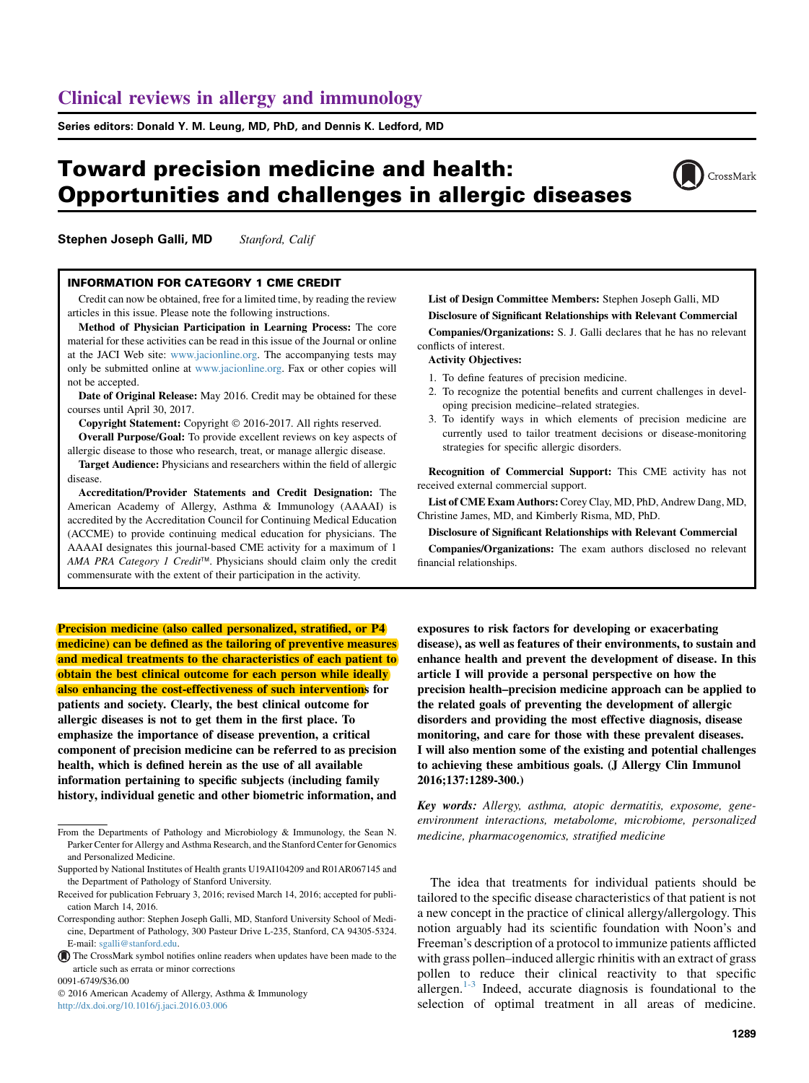# Clinical reviews in allergy and immunology

Series editors: Donald Y. M. Leung, MD, PhD, and Dennis K. Ledford, MD

# Toward precision medicine and health: Opportunities and challenges in allergic diseases



Stephen Joseph Galli, MD Stanford, Calif

### INFORMATION FOR CATEGORY 1 CME CREDIT

Credit can now be obtained, free for a limited time, by reading the review articles in this issue. Please note the following instructions.

Method of Physician Participation in Learning Process: The core material for these activities can be read in this issue of the Journal or online at the JACI Web site: [www.jacionline.org](http://www.jacionline.org). The accompanying tests may only be submitted online at [www.jacionline.org.](http://www.jacionline.org) Fax or other copies will not be accepted.

Date of Original Release: May 2016. Credit may be obtained for these courses until April 30, 2017.

Copyright Statement: Copyright © 2016-2017. All rights reserved.

Overall Purpose/Goal: To provide excellent reviews on key aspects of allergic disease to those who research, treat, or manage allergic disease.

Target Audience: Physicians and researchers within the field of allergic disease.

Accreditation/Provider Statements and Credit Designation: The American Academy of Allergy, Asthma & Immunology (AAAAI) is accredited by the Accreditation Council for Continuing Medical Education (ACCME) to provide continuing medical education for physicians. The AAAAI designates this journal-based CME activity for a maximum of 1 AMA PRA Category 1 Credit™. Physicians should claim only the credit commensurate with the extent of their participation in the activity.

Precision medicine (also called personalized, stratified, or P4 medicine) can be defined as the tailoring of preventive measures and medical treatments to the characteristics of each patient to obtain the best clinical outcome for each person while ideally also enhancing the cost-effectiveness of such interventions for patients and society. Clearly, the best clinical outcome for allergic diseases is not to get them in the first place. To emphasize the importance of disease prevention, a critical component of precision medicine can be referred to as precision health, which is defined herein as the use of all available information pertaining to specific subjects (including family history, individual genetic and other biometric information, and

0091-6749/\$36.00

 2016 American Academy of Allergy, Asthma & Immunology <http://dx.doi.org/10.1016/j.jaci.2016.03.006>

List of Design Committee Members: Stephen Joseph Galli, MD

Disclosure of Significant Relationships with Relevant Commercial

Companies/Organizations: S. J. Galli declares that he has no relevant conflicts of interest.

Activity Objectives:

- 1. To define features of precision medicine.
- 2. To recognize the potential benefits and current challenges in developing precision medicine–related strategies.
- 3. To identify ways in which elements of precision medicine are currently used to tailor treatment decisions or disease-monitoring strategies for specific allergic disorders.

Recognition of Commercial Support: This CME activity has not received external commercial support.

List of CME Exam Authors: Corey Clay, MD, PhD, Andrew Dang, MD, Christine James, MD, and Kimberly Risma, MD, PhD.

Disclosure of Significant Relationships with Relevant Commercial

Companies/Organizations: The exam authors disclosed no relevant financial relationships.

exposures to risk factors for developing or exacerbating disease), as well as features of their environments, to sustain and enhance health and prevent the development of disease. In this article I will provide a personal perspective on how the precision health–precision medicine approach can be applied to the related goals of preventing the development of allergic disorders and providing the most effective diagnosis, disease monitoring, and care for those with these prevalent diseases. I will also mention some of the existing and potential challenges to achieving these ambitious goals. (J Allergy Clin Immunol 2016;137:1289-300.)

Key words: Allergy, asthma, atopic dermatitis, exposome, geneenvironment interactions, metabolome, microbiome, personalized medicine, pharmacogenomics, stratified medicine

The idea that treatments for individual patients should be tailored to the specific disease characteristics of that patient is not a new concept in the practice of clinical allergy/allergology. This notion arguably had its scientific foundation with Noon's and Freeman's description of a protocol to immunize patients afflicted with grass pollen–induced allergic rhinitis with an extract of grass pollen to reduce their clinical reactivity to that specific allergen. $1-3$  Indeed, accurate diagnosis is foundational to the selection of optimal treatment in all areas of medicine.

From the Departments of Pathology and Microbiology & Immunology, the Sean N. Parker Center for Allergy and Asthma Research, and the Stanford Center for Genomics and Personalized Medicine.

Supported by National Institutes of Health grants U19AI104209 and R01AR067145 and the Department of Pathology of Stanford University.

Received for publication February 3, 2016; revised March 14, 2016; accepted for publication March 14, 2016.

Corresponding author: Stephen Joseph Galli, MD, Stanford University School of Medicine, Department of Pathology, 300 Pasteur Drive L-235, Stanford, CA 94305-5324. E-mail: [sgalli@stanford.edu](mailto:sgalli@stanford.edu).

The CrossMark symbol notifies online readers when updates have been made to the article such as errata or minor corrections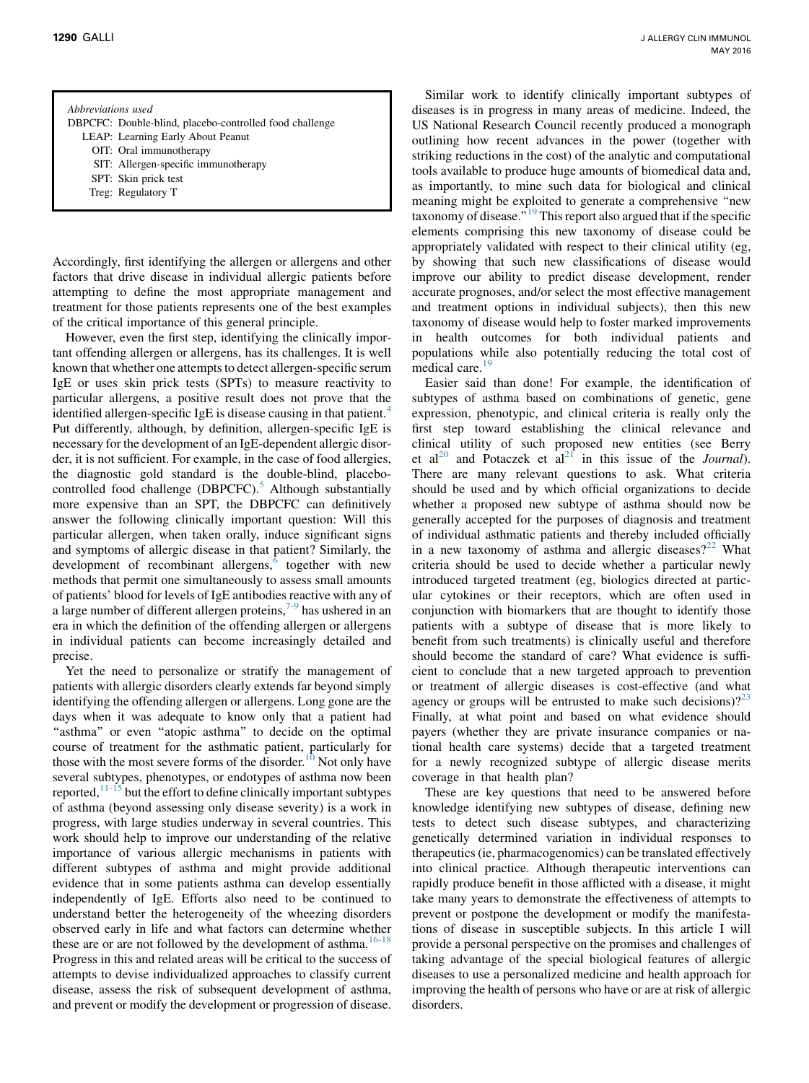Abbreviations used

|  |  | DBPCFC: Double-blind, placebo-controlled food challenge |  |
|--|--|---------------------------------------------------------|--|
|  |  |                                                         |  |

- LEAP: Learning Early About Peanut
	- OIT: Oral immunotherapy
	- SIT: Allergen-specific immunotherapy
	- SPT: Skin prick test
	- Treg: Regulatory T

Accordingly, first identifying the allergen or allergens and other factors that drive disease in individual allergic patients before attempting to define the most appropriate management and treatment for those patients represents one of the best examples of the critical importance of this general principle.

However, even the first step, identifying the clinically important offending allergen or allergens, has its challenges. It is well known that whether one attempts to detect allergen-specific serum IgE or uses skin prick tests (SPTs) to measure reactivity to particular allergens, a positive result does not prove that the identified allergen-specific IgE is disease causing in that patient. $4$ Put differently, although, by definition, allergen-specific IgE is necessary for the development of an IgE-dependent allergic disorder, it is not sufficient. For example, in the case of food allergies, the diagnostic gold standard is the double-blind, placebo-controlled food challenge (DBPCFC).<sup>[5](#page-9-0)</sup> Although substantially more expensive than an SPT, the DBPCFC can definitively answer the following clinically important question: Will this particular allergen, when taken orally, induce significant signs and symptoms of allergic disease in that patient? Similarly, the development of recombinant allergens,<sup>[6](#page-9-0)</sup> together with new methods that permit one simultaneously to assess small amounts of patients' blood for levels of IgE antibodies reactive with any of a large number of different allergen proteins,  $7-9$  has ushered in an era in which the definition of the offending allergen or allergens in individual patients can become increasingly detailed and precise.

Yet the need to personalize or stratify the management of patients with allergic disorders clearly extends far beyond simply identifying the offending allergen or allergens. Long gone are the days when it was adequate to know only that a patient had "asthma" or even "atopic asthma" to decide on the optimal course of treatment for the asthmatic patient, particularly for those with the most severe forms of the disorder.<sup>[10](#page-10-0)</sup> Not only have several subtypes, phenotypes, or endotypes of asthma now been reported, $11-15$  but the effort to define clinically important subtypes of asthma (beyond assessing only disease severity) is a work in progress, with large studies underway in several countries. This work should help to improve our understanding of the relative importance of various allergic mechanisms in patients with different subtypes of asthma and might provide additional evidence that in some patients asthma can develop essentially independently of IgE. Efforts also need to be continued to understand better the heterogeneity of the wheezing disorders observed early in life and what factors can determine whether these are or are not followed by the development of asthma.<sup>[16-18](#page-10-0)</sup> Progress in this and related areas will be critical to the success of attempts to devise individualized approaches to classify current disease, assess the risk of subsequent development of asthma, and prevent or modify the development or progression of disease.

Similar work to identify clinically important subtypes of diseases is in progress in many areas of medicine. Indeed, the US National Research Council recently produced a monograph outlining how recent advances in the power (together with striking reductions in the cost) of the analytic and computational tools available to produce huge amounts of biomedical data and, as importantly, to mine such data for biological and clinical meaning might be exploited to generate a comprehensive ''new taxonomy of disease.'['19](#page-10-0) This report also argued that if the specific elements comprising this new taxonomy of disease could be appropriately validated with respect to their clinical utility (eg, by showing that such new classifications of disease would improve our ability to predict disease development, render accurate prognoses, and/or select the most effective management and treatment options in individual subjects), then this new taxonomy of disease would help to foster marked improvements in health outcomes for both individual patients and populations while also potentially reducing the total cost of medical care. $19$ 

Easier said than done! For example, the identification of subtypes of asthma based on combinations of genetic, gene expression, phenotypic, and clinical criteria is really only the first step toward establishing the clinical relevance and clinical utility of such proposed new entities (see Berry et al<sup>[20](#page-10-0)</sup> and Potaczek et al<sup>21</sup> in this issue of the *Journal*). There are many relevant questions to ask. What criteria should be used and by which official organizations to decide whether a proposed new subtype of asthma should now be generally accepted for the purposes of diagnosis and treatment of individual asthmatic patients and thereby included officially in a new taxonomy of asthma and allergic diseases?<sup>[22](#page-10-0)</sup> What criteria should be used to decide whether a particular newly introduced targeted treatment (eg, biologics directed at particular cytokines or their receptors, which are often used in conjunction with biomarkers that are thought to identify those patients with a subtype of disease that is more likely to benefit from such treatments) is clinically useful and therefore should become the standard of care? What evidence is sufficient to conclude that a new targeted approach to prevention or treatment of allergic diseases is cost-effective (and what agency or groups will be entrusted to make such decisions)? $2^3$ Finally, at what point and based on what evidence should payers (whether they are private insurance companies or national health care systems) decide that a targeted treatment for a newly recognized subtype of allergic disease merits coverage in that health plan?

These are key questions that need to be answered before knowledge identifying new subtypes of disease, defining new tests to detect such disease subtypes, and characterizing genetically determined variation in individual responses to therapeutics (ie, pharmacogenomics) can be translated effectively into clinical practice. Although therapeutic interventions can rapidly produce benefit in those afflicted with a disease, it might take many years to demonstrate the effectiveness of attempts to prevent or postpone the development or modify the manifestations of disease in susceptible subjects. In this article I will provide a personal perspective on the promises and challenges of taking advantage of the special biological features of allergic diseases to use a personalized medicine and health approach for improving the health of persons who have or are at risk of allergic disorders.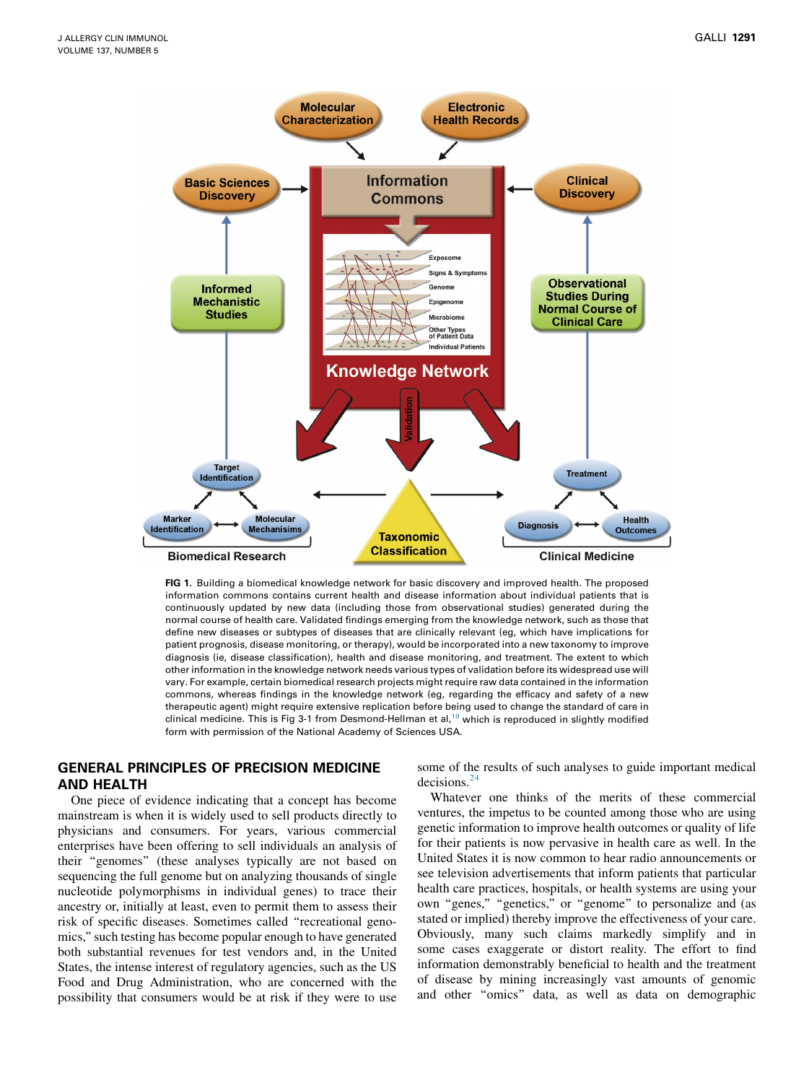<span id="page-2-0"></span>

FIG 1. Building a biomedical knowledge network for basic discovery and improved health. The proposed information commons contains current health and disease information about individual patients that is continuously updated by new data (including those from observational studies) generated during the normal course of health care. Validated findings emerging from the knowledge network, such as those that define new diseases or subtypes of diseases that are clinically relevant (eg, which have implications for patient prognosis, disease monitoring, or therapy), would be incorporated into a new taxonomy to improve diagnosis (ie, disease classification), health and disease monitoring, and treatment. The extent to which other information in the knowledge network needs various types of validation before its widespread use will vary. For example, certain biomedical research projects might require raw data contained in the information commons, whereas findings in the knowledge network (eg, regarding the efficacy and safety of a new therapeutic agent) might require extensive replication before being used to change the standard of care in clinical medicine. This is Fig 3-1 from Desmond-Hellman et al,<sup>[19](#page-10-0)</sup> which is reproduced in slightly modified form with permission of the National Academy of Sciences USA.

# GENERAL PRINCIPLES OF PRECISION MEDICINE AND HEALTH

One piece of evidence indicating that a concept has become mainstream is when it is widely used to sell products directly to physicians and consumers. For years, various commercial enterprises have been offering to sell individuals an analysis of their ''genomes'' (these analyses typically are not based on sequencing the full genome but on analyzing thousands of single nucleotide polymorphisms in individual genes) to trace their ancestry or, initially at least, even to permit them to assess their risk of specific diseases. Sometimes called ''recreational genomics,'' such testing has become popular enough to have generated both substantial revenues for test vendors and, in the United States, the intense interest of regulatory agencies, such as the US Food and Drug Administration, who are concerned with the possibility that consumers would be at risk if they were to use

some of the results of such analyses to guide important medical decisions.<sup>2</sup>

Whatever one thinks of the merits of these commercial ventures, the impetus to be counted among those who are using genetic information to improve health outcomes or quality of life for their patients is now pervasive in health care as well. In the United States it is now common to hear radio announcements or see television advertisements that inform patients that particular health care practices, hospitals, or health systems are using your own "genes," "genetics," or "genome" to personalize and (as stated or implied) thereby improve the effectiveness of your care. Obviously, many such claims markedly simplify and in some cases exaggerate or distort reality. The effort to find information demonstrably beneficial to health and the treatment of disease by mining increasingly vast amounts of genomic and other ''omics'' data, as well as data on demographic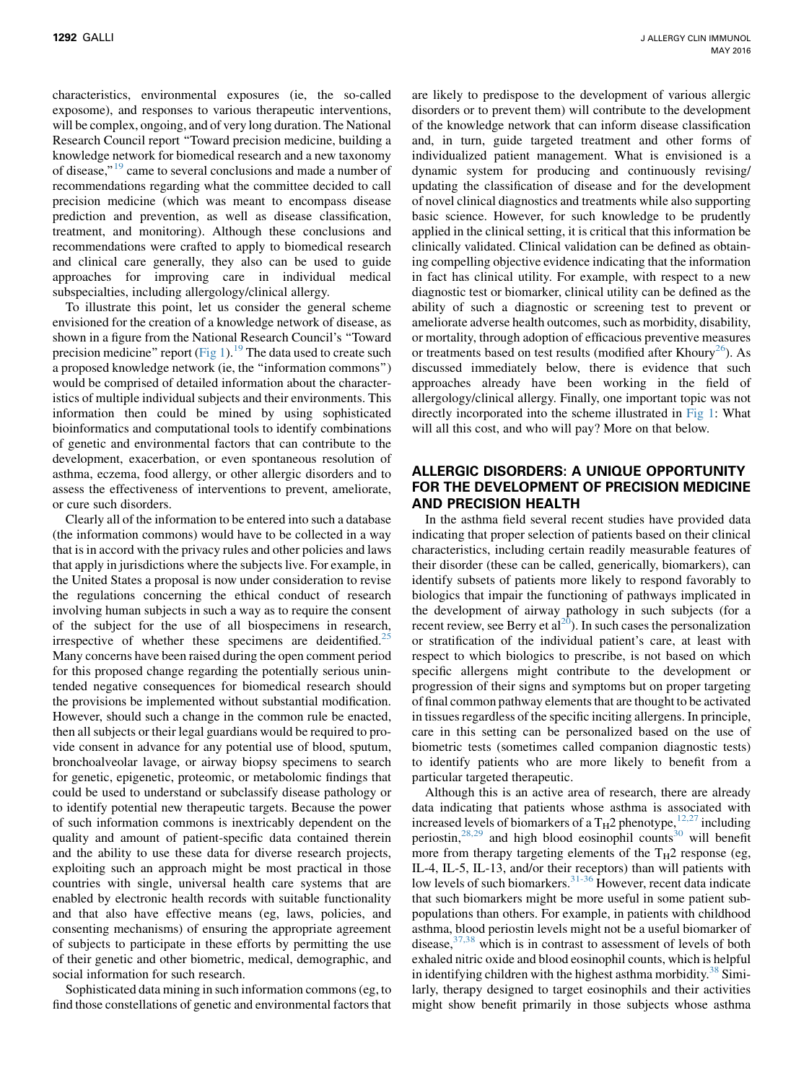characteristics, environmental exposures (ie, the so-called exposome), and responses to various therapeutic interventions, will be complex, ongoing, and of very long duration. The National Research Council report ''Toward precision medicine, building a knowledge network for biomedical research and a new taxonomy of disease,'['19](#page-10-0) came to several conclusions and made a number of recommendations regarding what the committee decided to call precision medicine (which was meant to encompass disease prediction and prevention, as well as disease classification, treatment, and monitoring). Although these conclusions and recommendations were crafted to apply to biomedical research and clinical care generally, they also can be used to guide approaches for improving care in individual medical subspecialties, including allergology/clinical allergy.

To illustrate this point, let us consider the general scheme envisioned for the creation of a knowledge network of disease, as shown in a figure from the National Research Council's ''Toward precision medicine" report  $(Fig 1)$  $(Fig 1)$ .<sup>[19](#page-10-0)</sup> The data used to create such a proposed knowledge network (ie, the ''information commons'') would be comprised of detailed information about the characteristics of multiple individual subjects and their environments. This information then could be mined by using sophisticated bioinformatics and computational tools to identify combinations of genetic and environmental factors that can contribute to the development, exacerbation, or even spontaneous resolution of asthma, eczema, food allergy, or other allergic disorders and to assess the effectiveness of interventions to prevent, ameliorate, or cure such disorders.

Clearly all of the information to be entered into such a database (the information commons) would have to be collected in a way that is in accord with the privacy rules and other policies and laws that apply in jurisdictions where the subjects live. For example, in the United States a proposal is now under consideration to revise the regulations concerning the ethical conduct of research involving human subjects in such a way as to require the consent of the subject for the use of all biospecimens in research, irrespective of whether these specimens are deidentified.<sup>[25](#page-10-0)</sup> Many concerns have been raised during the open comment period for this proposed change regarding the potentially serious unintended negative consequences for biomedical research should the provisions be implemented without substantial modification. However, should such a change in the common rule be enacted, then all subjects or their legal guardians would be required to provide consent in advance for any potential use of blood, sputum, bronchoalveolar lavage, or airway biopsy specimens to search for genetic, epigenetic, proteomic, or metabolomic findings that could be used to understand or subclassify disease pathology or to identify potential new therapeutic targets. Because the power of such information commons is inextricably dependent on the quality and amount of patient-specific data contained therein and the ability to use these data for diverse research projects, exploiting such an approach might be most practical in those countries with single, universal health care systems that are enabled by electronic health records with suitable functionality and that also have effective means (eg, laws, policies, and consenting mechanisms) of ensuring the appropriate agreement of subjects to participate in these efforts by permitting the use of their genetic and other biometric, medical, demographic, and social information for such research.

Sophisticated data mining in such information commons (eg, to find those constellations of genetic and environmental factors that

are likely to predispose to the development of various allergic disorders or to prevent them) will contribute to the development of the knowledge network that can inform disease classification and, in turn, guide targeted treatment and other forms of individualized patient management. What is envisioned is a dynamic system for producing and continuously revising/ updating the classification of disease and for the development of novel clinical diagnostics and treatments while also supporting basic science. However, for such knowledge to be prudently applied in the clinical setting, it is critical that this information be clinically validated. Clinical validation can be defined as obtaining compelling objective evidence indicating that the information in fact has clinical utility. For example, with respect to a new diagnostic test or biomarker, clinical utility can be defined as the ability of such a diagnostic or screening test to prevent or ameliorate adverse health outcomes, such as morbidity, disability, or mortality, through adoption of efficacious preventive measures or treatments based on test results (modified after Khoury<sup>26</sup>). As discussed immediately below, there is evidence that such approaches already have been working in the field of allergology/clinical allergy. Finally, one important topic was not directly incorporated into the scheme illustrated in [Fig 1:](#page-2-0) What will all this cost, and who will pay? More on that below.

# ALLERGIC DISORDERS: A UNIQUE OPPORTUNITY FOR THE DEVELOPMENT OF PRECISION MEDICINE AND PRECISION HEALTH

In the asthma field several recent studies have provided data indicating that proper selection of patients based on their clinical characteristics, including certain readily measurable features of their disorder (these can be called, generically, biomarkers), can identify subsets of patients more likely to respond favorably to biologics that impair the functioning of pathways implicated in the development of airway pathology in such subjects (for a recent review, see Berry et al<sup>20</sup>). In such cases the personalization or stratification of the individual patient's care, at least with respect to which biologics to prescribe, is not based on which specific allergens might contribute to the development or progression of their signs and symptoms but on proper targeting of final common pathway elements that are thought to be activated in tissues regardless of the specific inciting allergens. In principle, care in this setting can be personalized based on the use of biometric tests (sometimes called companion diagnostic tests) to identify patients who are more likely to benefit from a particular targeted therapeutic.

Although this is an active area of research, there are already data indicating that patients whose asthma is associated with increased levels of biomarkers of a  $T_H2$  phenotype,  $^{12,27}$  $^{12,27}$  $^{12,27}$  including periostin, $28,29$  and high blood eosinophil counts<sup>30</sup> will benefit more from therapy targeting elements of the  $T_H2$  response (eg, IL-4, IL-5, IL-13, and/or their receptors) than will patients with low levels of such biomarkers.<sup>[31-36](#page-10-0)</sup> However, recent data indicate that such biomarkers might be more useful in some patient subpopulations than others. For example, in patients with childhood asthma, blood periostin levels might not be a useful biomarker of disease, $37,38$  which is in contrast to assessment of levels of both exhaled nitric oxide and blood eosinophil counts, which is helpful in identifying children with the highest asthma morbidity.<sup>38</sup> Similarly, therapy designed to target eosinophils and their activities might show benefit primarily in those subjects whose asthma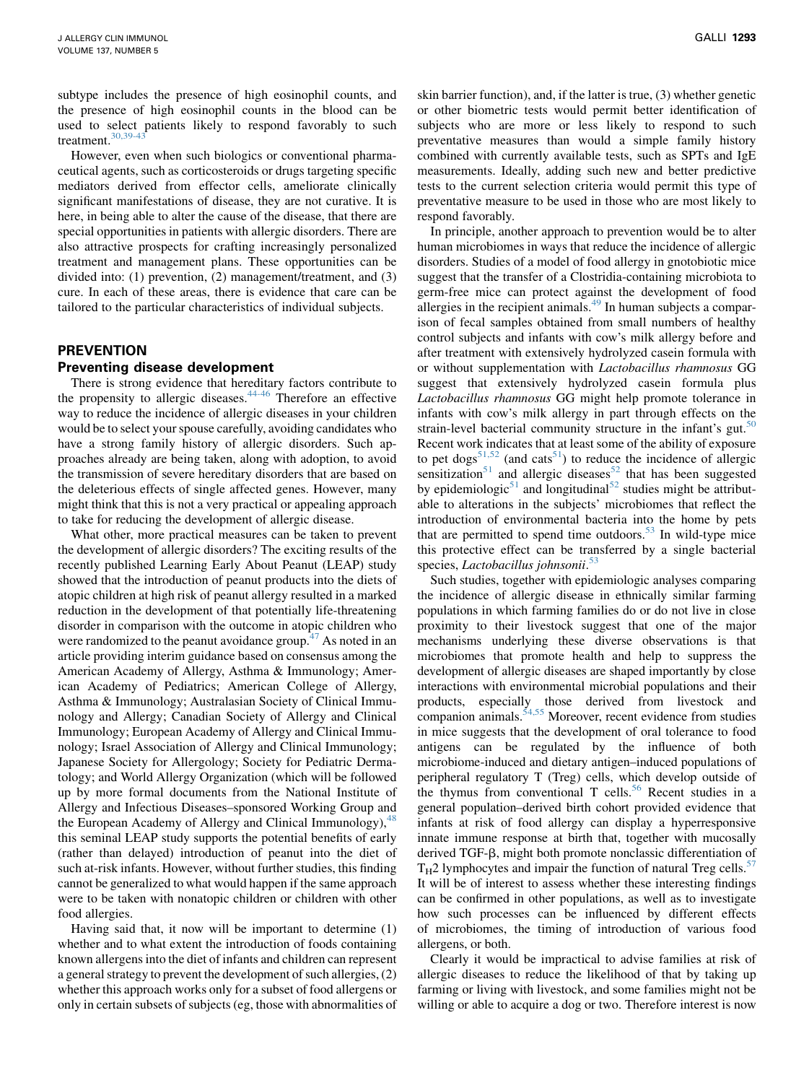subtype includes the presence of high eosinophil counts, and the presence of high eosinophil counts in the blood can be used to select patients likely to respond favorably to such treatment.<sup>30,39-4</sup>

However, even when such biologics or conventional pharmaceutical agents, such as corticosteroids or drugs targeting specific mediators derived from effector cells, ameliorate clinically significant manifestations of disease, they are not curative. It is here, in being able to alter the cause of the disease, that there are special opportunities in patients with allergic disorders. There are also attractive prospects for crafting increasingly personalized treatment and management plans. These opportunities can be divided into: (1) prevention, (2) management/treatment, and (3) cure. In each of these areas, there is evidence that care can be tailored to the particular characteristics of individual subjects.

# PREVENTION

### Preventing disease development

There is strong evidence that hereditary factors contribute to the propensity to allergic diseases.<sup>[44-46](#page-10-0)</sup> Therefore an effective way to reduce the incidence of allergic diseases in your children would be to select your spouse carefully, avoiding candidates who have a strong family history of allergic disorders. Such approaches already are being taken, along with adoption, to avoid the transmission of severe hereditary disorders that are based on the deleterious effects of single affected genes. However, many might think that this is not a very practical or appealing approach to take for reducing the development of allergic disease.

What other, more practical measures can be taken to prevent the development of allergic disorders? The exciting results of the recently published Learning Early About Peanut (LEAP) study showed that the introduction of peanut products into the diets of atopic children at high risk of peanut allergy resulted in a marked reduction in the development of that potentially life-threatening disorder in comparison with the outcome in atopic children who were randomized to the peanut avoidance group. $47$  As noted in an article providing interim guidance based on consensus among the American Academy of Allergy, Asthma & Immunology; American Academy of Pediatrics; American College of Allergy, Asthma & Immunology; Australasian Society of Clinical Immunology and Allergy; Canadian Society of Allergy and Clinical Immunology; European Academy of Allergy and Clinical Immunology; Israel Association of Allergy and Clinical Immunology; Japanese Society for Allergology; Society for Pediatric Dermatology; and World Allergy Organization (which will be followed up by more formal documents from the National Institute of Allergy and Infectious Diseases–sponsored Working Group and the European Academy of Allergy and Clinical Immunology), <sup>[48](#page-10-0)</sup> this seminal LEAP study supports the potential benefits of early (rather than delayed) introduction of peanut into the diet of such at-risk infants. However, without further studies, this finding cannot be generalized to what would happen if the same approach were to be taken with nonatopic children or children with other food allergies.

Having said that, it now will be important to determine (1) whether and to what extent the introduction of foods containing known allergens into the diet of infants and children can represent a general strategy to prevent the development of such allergies, (2) whether this approach works only for a subset of food allergens or only in certain subsets of subjects (eg, those with abnormalities of skin barrier function), and, if the latter is true, (3) whether genetic or other biometric tests would permit better identification of subjects who are more or less likely to respond to such preventative measures than would a simple family history combined with currently available tests, such as SPTs and IgE measurements. Ideally, adding such new and better predictive tests to the current selection criteria would permit this type of preventative measure to be used in those who are most likely to respond favorably.

In principle, another approach to prevention would be to alter human microbiomes in ways that reduce the incidence of allergic disorders. Studies of a model of food allergy in gnotobiotic mice suggest that the transfer of a Clostridia-containing microbiota to germ-free mice can protect against the development of food allergies in the recipient animals. $49$  In human subjects a comparison of fecal samples obtained from small numbers of healthy control subjects and infants with cow's milk allergy before and after treatment with extensively hydrolyzed casein formula with or without supplementation with Lactobacillus rhamnosus GG suggest that extensively hydrolyzed casein formula plus Lactobacillus rhamnosus GG might help promote tolerance in infants with cow's milk allergy in part through effects on the strain-level bacterial community structure in the infant's gut.<sup>[50](#page-10-0)</sup> Recent work indicates that at least some of the ability of exposure to pet dogs<sup>[51,52](#page-10-0)</sup> (and cats<sup>51</sup>) to reduce the incidence of allergic sensitization<sup>51</sup> and allergic diseases<sup>[52](#page-10-0)</sup> that has been suggested by epidemiologic<sup>[51](#page-10-0)</sup> and longitudinal<sup>[52](#page-10-0)</sup> studies might be attributable to alterations in the subjects' microbiomes that reflect the introduction of environmental bacteria into the home by pets that are permitted to spend time outdoors. $53$  In wild-type mice this protective effect can be transferred by a single bacterial species, Lactobacillus johnsonii.<sup>[53](#page-10-0)</sup>

Such studies, together with epidemiologic analyses comparing the incidence of allergic disease in ethnically similar farming populations in which farming families do or do not live in close proximity to their livestock suggest that one of the major mechanisms underlying these diverse observations is that microbiomes that promote health and help to suppress the development of allergic diseases are shaped importantly by close interactions with environmental microbial populations and their products, especially those derived from livestock and companion animals.<sup>54,55</sup> Moreover, recent evidence from studies in mice suggests that the development of oral tolerance to food antigens can be regulated by the influence of both microbiome-induced and dietary antigen–induced populations of peripheral regulatory T (Treg) cells, which develop outside of the thymus from conventional T cells.<sup>[56](#page-10-0)</sup> Recent studies in a general population–derived birth cohort provided evidence that infants at risk of food allergy can display a hyperresponsive innate immune response at birth that, together with mucosally derived TGF-β, might both promote nonclassic differentiation of  $T_H$ 2 lymphocytes and impair the function of natural Treg cells.<sup>[57](#page-10-0)</sup> It will be of interest to assess whether these interesting findings can be confirmed in other populations, as well as to investigate how such processes can be influenced by different effects of microbiomes, the timing of introduction of various food allergens, or both.

Clearly it would be impractical to advise families at risk of allergic diseases to reduce the likelihood of that by taking up farming or living with livestock, and some families might not be willing or able to acquire a dog or two. Therefore interest is now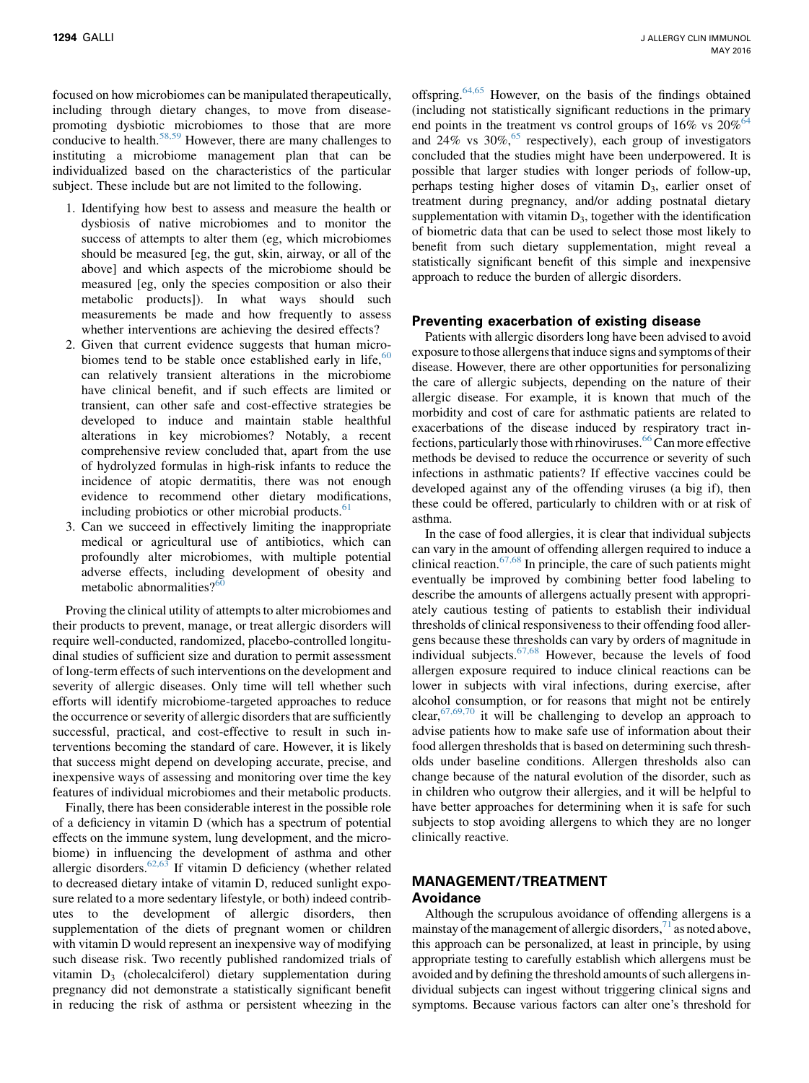focused on how microbiomes can be manipulated therapeutically, including through dietary changes, to move from diseasepromoting dysbiotic microbiomes to those that are more conducive to health.[58,59](#page-10-0) However, there are many challenges to instituting a microbiome management plan that can be individualized based on the characteristics of the particular subject. These include but are not limited to the following.

- 1. Identifying how best to assess and measure the health or dysbiosis of native microbiomes and to monitor the success of attempts to alter them (eg, which microbiomes should be measured [eg, the gut, skin, airway, or all of the above] and which aspects of the microbiome should be measured [eg, only the species composition or also their metabolic products]). In what ways should such measurements be made and how frequently to assess whether interventions are achieving the desired effects?
- 2. Given that current evidence suggests that human microbiomes tend to be stable once established early in life,  $60$ can relatively transient alterations in the microbiome have clinical benefit, and if such effects are limited or transient, can other safe and cost-effective strategies be developed to induce and maintain stable healthful alterations in key microbiomes? Notably, a recent comprehensive review concluded that, apart from the use of hydrolyzed formulas in high-risk infants to reduce the incidence of atopic dermatitis, there was not enough evidence to recommend other dietary modifications, including probiotics or other microbial products.<sup>61</sup>
- 3. Can we succeed in effectively limiting the inappropriate medical or agricultural use of antibiotics, which can profoundly alter microbiomes, with multiple potential adverse effects, including development of obesity and metabolic abnormalities? $60$

Proving the clinical utility of attempts to alter microbiomes and their products to prevent, manage, or treat allergic disorders will require well-conducted, randomized, placebo-controlled longitudinal studies of sufficient size and duration to permit assessment of long-term effects of such interventions on the development and severity of allergic diseases. Only time will tell whether such efforts will identify microbiome-targeted approaches to reduce the occurrence or severity of allergic disorders that are sufficiently successful, practical, and cost-effective to result in such interventions becoming the standard of care. However, it is likely that success might depend on developing accurate, precise, and inexpensive ways of assessing and monitoring over time the key features of individual microbiomes and their metabolic products.

Finally, there has been considerable interest in the possible role of a deficiency in vitamin D (which has a spectrum of potential effects on the immune system, lung development, and the microbiome) in influencing the development of asthma and other allergic disorders.<sup>62,63</sup> If vitamin  $\overline{D}$  deficiency (whether related to decreased dietary intake of vitamin D, reduced sunlight exposure related to a more sedentary lifestyle, or both) indeed contributes to the development of allergic disorders, then supplementation of the diets of pregnant women or children with vitamin D would represent an inexpensive way of modifying such disease risk. Two recently published randomized trials of vitamin  $D_3$  (cholecalciferol) dietary supplementation during pregnancy did not demonstrate a statistically significant benefit in reducing the risk of asthma or persistent wheezing in the

offspring.<sup>64,65</sup> However, on the basis of the findings obtained (including not statistically significant reductions in the primary end points in the treatment vs control groups of  $16\%$  vs  $20\%$ <sup>64</sup> and  $24\%$  vs  $30\%$ , <sup>[65](#page-11-0)</sup> respectively), each group of investigators concluded that the studies might have been underpowered. It is possible that larger studies with longer periods of follow-up, perhaps testing higher doses of vitamin  $D_3$ , earlier onset of treatment during pregnancy, and/or adding postnatal dietary supplementation with vitamin  $D_3$ , together with the identification of biometric data that can be used to select those most likely to benefit from such dietary supplementation, might reveal a statistically significant benefit of this simple and inexpensive approach to reduce the burden of allergic disorders.

### Preventing exacerbation of existing disease

Patients with allergic disorders long have been advised to avoid exposure to those allergensthat induce signs and symptoms of their disease. However, there are other opportunities for personalizing the care of allergic subjects, depending on the nature of their allergic disease. For example, it is known that much of the morbidity and cost of care for asthmatic patients are related to exacerbations of the disease induced by respiratory tract infections, particularly those with rhinoviruses.  $^{66}$  Can more effective methods be devised to reduce the occurrence or severity of such infections in asthmatic patients? If effective vaccines could be developed against any of the offending viruses (a big if), then these could be offered, particularly to children with or at risk of asthma.

In the case of food allergies, it is clear that individual subjects can vary in the amount of offending allergen required to induce a clinical reaction. $67,68$  In principle, the care of such patients might eventually be improved by combining better food labeling to describe the amounts of allergens actually present with appropriately cautious testing of patients to establish their individual thresholds of clinical responsiveness to their offending food allergens because these thresholds can vary by orders of magnitude in individual subjects.[67,68](#page-11-0) However, because the levels of food allergen exposure required to induce clinical reactions can be lower in subjects with viral infections, during exercise, after alcohol consumption, or for reasons that might not be entirely  $clear,67,69,70$  $clear,67,69,70$  it will be challenging to develop an approach to advise patients how to make safe use of information about their food allergen thresholds that is based on determining such thresholds under baseline conditions. Allergen thresholds also can change because of the natural evolution of the disorder, such as in children who outgrow their allergies, and it will be helpful to have better approaches for determining when it is safe for such subjects to stop avoiding allergens to which they are no longer clinically reactive.

### MANAGEMENT/TREATMENT Avoidance

Although the scrupulous avoidance of offending allergens is a mainstay of the management of allergic disorders, $\frac{71}{1}$  as noted above, this approach can be personalized, at least in principle, by using appropriate testing to carefully establish which allergens must be avoided and by defining the threshold amounts of such allergens individual subjects can ingest without triggering clinical signs and symptoms. Because various factors can alter one's threshold for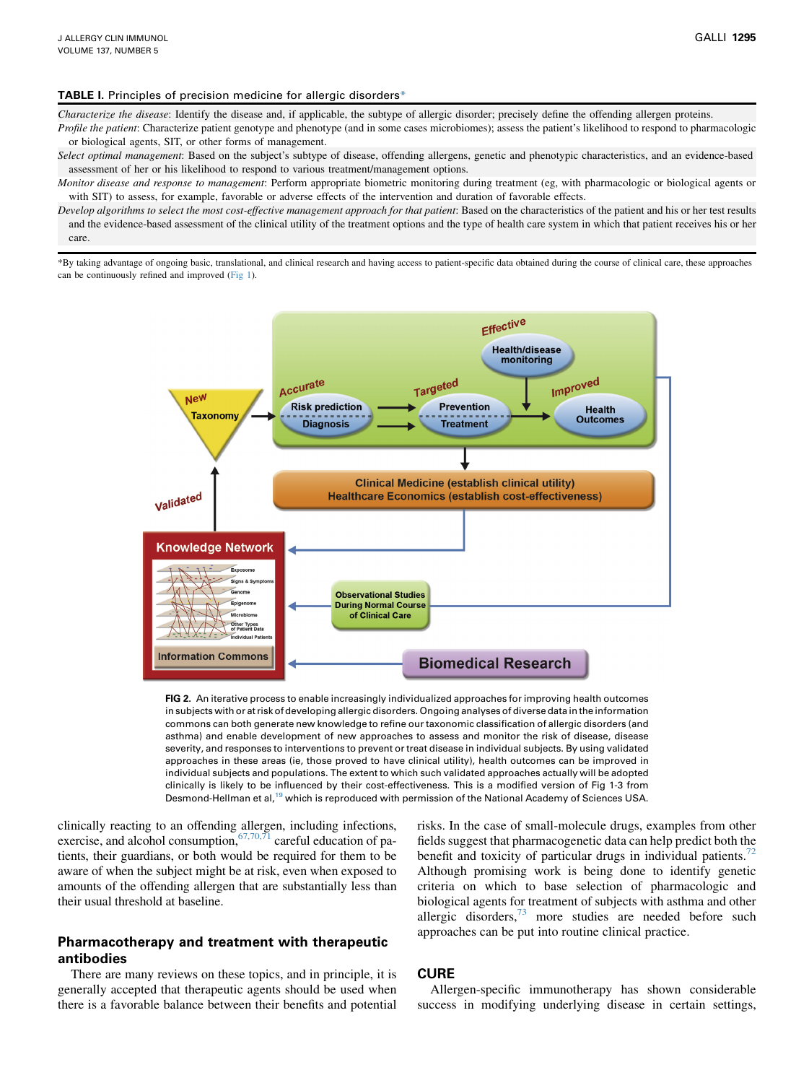#### <span id="page-6-0"></span>TABLE I. Principles of precision medicine for allergic disorders\*

Characterize the disease: Identify the disease and, if applicable, the subtype of allergic disorder; precisely define the offending allergen proteins.

Profile the patient: Characterize patient genotype and phenotype (and in some cases microbiomes); assess the patient's likelihood to respond to pharmacologic or biological agents, SIT, or other forms of management.

Select optimal management: Based on the subject's subtype of disease, offending allergens, genetic and phenotypic characteristics, and an evidence-based assessment of her or his likelihood to respond to various treatment/management options.

Monitor disease and response to management: Perform appropriate biometric monitoring during treatment (eg, with pharmacologic or biological agents or with SIT) to assess, for example, favorable or adverse effects of the intervention and duration of favorable effects.

Develop algorithms to select the most cost-effective management approach for that patient: Based on the characteristics of the patient and his or her test results and the evidence-based assessment of the clinical utility of the treatment options and the type of health care system in which that patient receives his or her care.

\*By taking advantage of ongoing basic, translational, and clinical research and having access to patient-specific data obtained during the course of clinical care, these approaches can be continuously refined and improved ([Fig 1\)](#page-2-0).



FIG 2. An iterative process to enable increasingly individualized approaches for improving health outcomes in subjects with or at risk of developing allergic disorders. Ongoing analyses of diverse data in the information commons can both generate new knowledge to refine our taxonomic classification of allergic disorders (and asthma) and enable development of new approaches to assess and monitor the risk of disease, disease severity, and responses to interventions to prevent or treat disease in individual subjects. By using validated approaches in these areas (ie, those proved to have clinical utility), health outcomes can be improved in individual subjects and populations. The extent to which such validated approaches actually will be adopted clinically is likely to be influenced by their cost-effectiveness. This is a modified version of Fig 1-3 from Desmond-Hellman et al,<sup>[19](#page-10-0)</sup> which is reproduced with permission of the National Academy of Sciences USA.

clinically reacting to an offending allergen, including infections, exercise, and alcohol consumption,  $67,70,71$  careful education of patients, their guardians, or both would be required for them to be aware of when the subject might be at risk, even when exposed to amounts of the offending allergen that are substantially less than their usual threshold at baseline.

# Pharmacotherapy and treatment with therapeutic antibodies

There are many reviews on these topics, and in principle, it is generally accepted that therapeutic agents should be used when there is a favorable balance between their benefits and potential risks. In the case of small-molecule drugs, examples from other fields suggest that pharmacogenetic data can help predict both the benefit and toxicity of particular drugs in individual patients.<sup>[72](#page-11-0)</sup> Although promising work is being done to identify genetic criteria on which to base selection of pharmacologic and biological agents for treatment of subjects with asthma and other allergic disorders,<sup>[73](#page-11-0)</sup> more studies are needed before such approaches can be put into routine clinical practice.

### CURE

Allergen-specific immunotherapy has shown considerable success in modifying underlying disease in certain settings,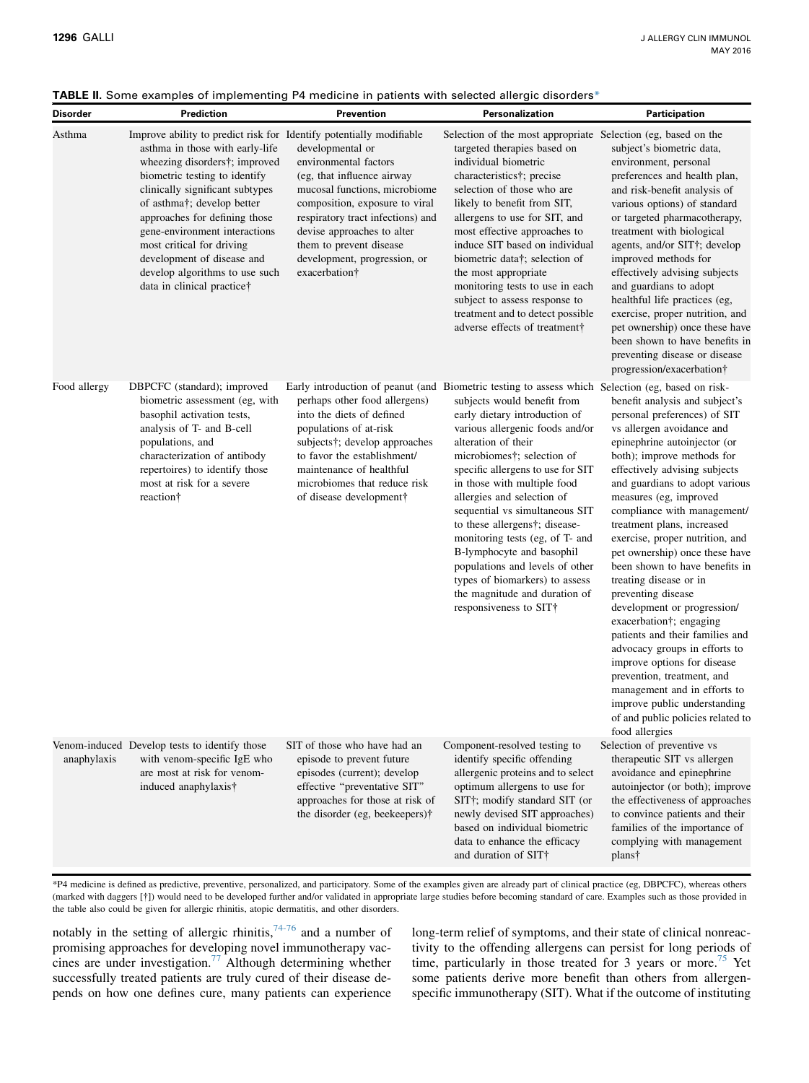<span id="page-7-0"></span>

| <b>TABLE II.</b> Some examples of implementing P4 medicine in patients with selected allergic disorders* |  |  |  |  |  |
|----------------------------------------------------------------------------------------------------------|--|--|--|--|--|
|                                                                                                          |  |  |  |  |  |

| Disorder     | Prediction                                                                                                                                                                                                                                                                                                                                                                                                                             | Prevention                                                                                                                                                                                                                                                                                | ⊷⊷ ອ∙<br>Personalization                                                                                                                                                                                                                                                                                                                                                                                                                                                                                                                                                                                                       | Participation                                                                                                                                                                                                                                                                                                                                                                                                                                                                                                                                                                                                                                                                                                                                                                                |
|--------------|----------------------------------------------------------------------------------------------------------------------------------------------------------------------------------------------------------------------------------------------------------------------------------------------------------------------------------------------------------------------------------------------------------------------------------------|-------------------------------------------------------------------------------------------------------------------------------------------------------------------------------------------------------------------------------------------------------------------------------------------|--------------------------------------------------------------------------------------------------------------------------------------------------------------------------------------------------------------------------------------------------------------------------------------------------------------------------------------------------------------------------------------------------------------------------------------------------------------------------------------------------------------------------------------------------------------------------------------------------------------------------------|----------------------------------------------------------------------------------------------------------------------------------------------------------------------------------------------------------------------------------------------------------------------------------------------------------------------------------------------------------------------------------------------------------------------------------------------------------------------------------------------------------------------------------------------------------------------------------------------------------------------------------------------------------------------------------------------------------------------------------------------------------------------------------------------|
| Asthma       | Improve ability to predict risk for Identify potentially modifiable<br>asthma in those with early-life<br>wheezing disorders†; improved<br>biometric testing to identify<br>clinically significant subtypes<br>of asthma†; develop better<br>approaches for defining those<br>gene-environment interactions<br>most critical for driving<br>development of disease and<br>develop algorithms to use such<br>data in clinical practice† | developmental or<br>environmental factors<br>(eg, that influence airway<br>mucosal functions, microbiome<br>composition, exposure to viral<br>respiratory tract infections) and<br>devise approaches to alter<br>them to prevent disease<br>development, progression, or<br>exacerbation† | Selection of the most appropriate Selection (eg, based on the<br>targeted therapies based on<br>individual biometric<br>characteristics†; precise<br>selection of those who are<br>likely to benefit from SIT,<br>allergens to use for SIT, and<br>most effective approaches to<br>induce SIT based on individual<br>biometric data†; selection of<br>the most appropriate<br>monitoring tests to use in each<br>subject to assess response to<br>treatment and to detect possible<br>adverse effects of treatment <sup>†</sup>                                                                                                | subject's biometric data,<br>environment, personal<br>preferences and health plan,<br>and risk-benefit analysis of<br>various options) of standard<br>or targeted pharmacotherapy,<br>treatment with biological<br>agents, and/or SIT†; develop<br>improved methods for<br>effectively advising subjects<br>and guardians to adopt<br>healthful life practices (eg,<br>exercise, proper nutrition, and<br>pet ownership) once these have<br>been shown to have benefits in<br>preventing disease or disease<br>progression/exacerbation†                                                                                                                                                                                                                                                     |
| Food allergy | DBPCFC (standard); improved<br>biometric assessment (eg, with<br>basophil activation tests,<br>analysis of T- and B-cell<br>populations, and<br>characterization of antibody<br>repertoires) to identify those<br>most at risk for a severe<br>reaction <sup>†</sup>                                                                                                                                                                   | perhaps other food allergens)<br>into the diets of defined<br>populations of at-risk<br>subjects†; develop approaches<br>to favor the establishment/<br>maintenance of healthful<br>microbiomes that reduce risk<br>of disease development†                                               | Early introduction of peanut (and Biometric testing to assess which Selection (eg, based on risk-<br>subjects would benefit from<br>early dietary introduction of<br>various allergenic foods and/or<br>alteration of their<br>microbiomes†; selection of<br>specific allergens to use for SIT<br>in those with multiple food<br>allergies and selection of<br>sequential vs simultaneous SIT<br>to these allergens†; disease-<br>monitoring tests (eg, of T- and<br>B-lymphocyte and basophil<br>populations and levels of other<br>types of biomarkers) to assess<br>the magnitude and duration of<br>responsiveness to SIT+ | benefit analysis and subject's<br>personal preferences) of SIT<br>vs allergen avoidance and<br>epinephrine autoinjector (or<br>both); improve methods for<br>effectively advising subjects<br>and guardians to adopt various<br>measures (eg, improved<br>compliance with management/<br>treatment plans, increased<br>exercise, proper nutrition, and<br>pet ownership) once these have<br>been shown to have benefits in<br>treating disease or in<br>preventing disease<br>development or progression/<br>exacerbation†; engaging<br>patients and their families and<br>advocacy groups in efforts to<br>improve options for disease<br>prevention, treatment, and<br>management and in efforts to<br>improve public understanding<br>of and public policies related to<br>food allergies |
| anaphylaxis  | Venom-induced Develop tests to identify those<br>with venom-specific IgE who<br>are most at risk for venom-<br>induced anaphylaxis†                                                                                                                                                                                                                                                                                                    | SIT of those who have had an<br>episode to prevent future<br>episodes (current); develop<br>effective "preventative SIT"<br>approaches for those at risk of<br>the disorder (eg, beekeepers)†                                                                                             | Component-resolved testing to<br>identify specific offending<br>allergenic proteins and to select<br>optimum allergens to use for<br>SIT†; modify standard SIT (or<br>newly devised SIT approaches)<br>based on individual biometric<br>data to enhance the efficacy<br>and duration of SIT†                                                                                                                                                                                                                                                                                                                                   | Selection of preventive vs<br>therapeutic SIT vs allergen<br>avoidance and epinephrine<br>autoinjector (or both); improve<br>the effectiveness of approaches<br>to convince patients and their<br>families of the importance of<br>complying with management<br>plans†                                                                                                                                                                                                                                                                                                                                                                                                                                                                                                                       |

\*P4 medicine is defined as predictive, preventive, personalized, and participatory. Some of the examples given are already part of clinical practice (eg, DBPCFC), whereas others (marked with daggers []) would need to be developed further and/or validated in appropriate large studies before becoming standard of care. Examples such as those provided in the table also could be given for allergic rhinitis, atopic dermatitis, and other disorders.

notably in the setting of allergic rhinitis,  $74-76$  and a number of promising approaches for developing novel immunotherapy vac-cines are under investigation.<sup>[77](#page-11-0)</sup> Although determining whether successfully treated patients are truly cured of their disease depends on how one defines cure, many patients can experience

long-term relief of symptoms, and their state of clinical nonreactivity to the offending allergens can persist for long periods of time, particularly in those treated for 3 years or more.<sup>[75](#page-11-0)</sup> Yet some patients derive more benefit than others from allergenspecific immunotherapy (SIT). What if the outcome of instituting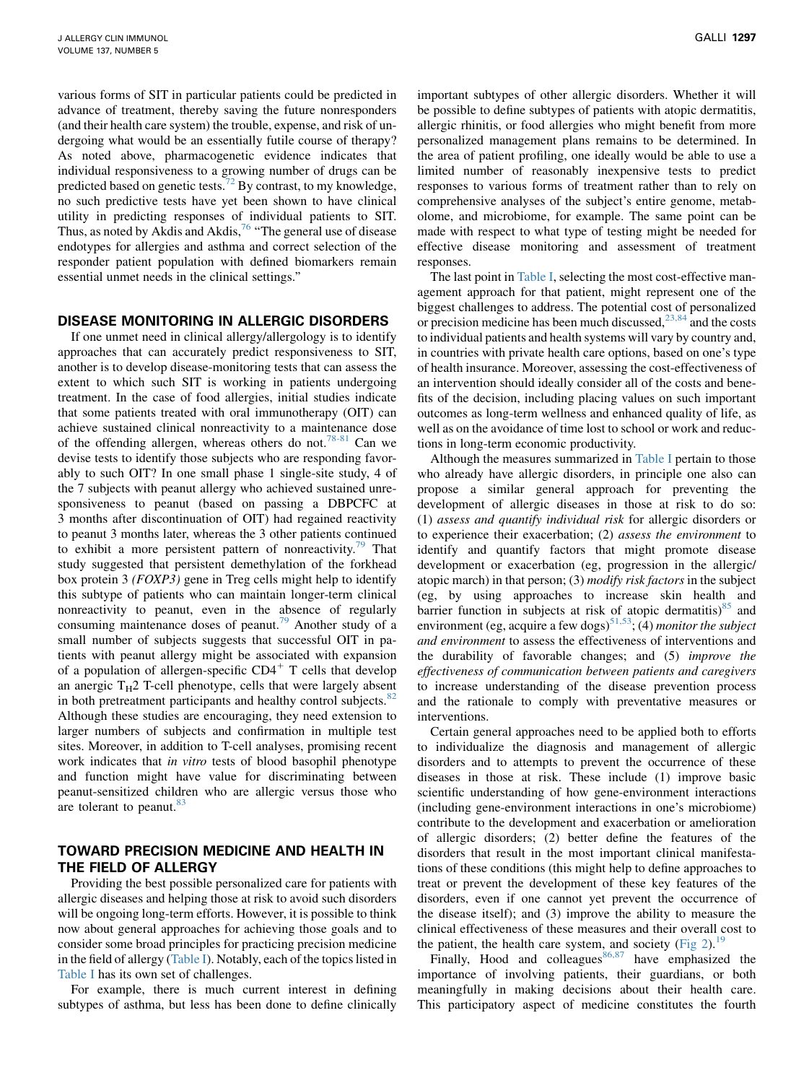various forms of SIT in particular patients could be predicted in advance of treatment, thereby saving the future nonresponders (and their health care system) the trouble, expense, and risk of undergoing what would be an essentially futile course of therapy? As noted above, pharmacogenetic evidence indicates that individual responsiveness to a growing number of drugs can be predicted based on genetic tests.[72](#page-11-0) By contrast, to my knowledge, no such predictive tests have yet been shown to have clinical utility in predicting responses of individual patients to SIT. Thus, as noted by Akdis and Akdis,<sup>[76](#page-11-0)</sup> "The general use of disease endotypes for allergies and asthma and correct selection of the responder patient population with defined biomarkers remain essential unmet needs in the clinical settings.''

### DISEASE MONITORING IN ALLERGIC DISORDERS

If one unmet need in clinical allergy/allergology is to identify approaches that can accurately predict responsiveness to SIT, another is to develop disease-monitoring tests that can assess the extent to which such SIT is working in patients undergoing treatment. In the case of food allergies, initial studies indicate that some patients treated with oral immunotherapy (OIT) can achieve sustained clinical nonreactivity to a maintenance dose of the offending allergen, whereas others do not.<sup>[78-81](#page-11-0)</sup> Can we devise tests to identify those subjects who are responding favorably to such OIT? In one small phase 1 single-site study, 4 of the 7 subjects with peanut allergy who achieved sustained unresponsiveness to peanut (based on passing a DBPCFC at 3 months after discontinuation of OIT) had regained reactivity to peanut 3 months later, whereas the 3 other patients continued to exhibit a more persistent pattern of nonreactivity.<sup>79</sup> That study suggested that persistent demethylation of the forkhead box protein 3 (FOXP3) gene in Treg cells might help to identify this subtype of patients who can maintain longer-term clinical nonreactivity to peanut, even in the absence of regularly consuming maintenance doses of peanut[.79](#page-11-0) Another study of a small number of subjects suggests that successful OIT in patients with peanut allergy might be associated with expansion of a population of allergen-specific  $CD4<sup>+</sup>$  T cells that develop an anergic  $T_H2$  T-cell phenotype, cells that were largely absent in both pretreatment participants and healthy control subjects. $82$ Although these studies are encouraging, they need extension to larger numbers of subjects and confirmation in multiple test sites. Moreover, in addition to T-cell analyses, promising recent work indicates that *in vitro* tests of blood basophil phenotype and function might have value for discriminating between peanut-sensitized children who are allergic versus those who are tolerant to peanut.<sup>[83](#page-11-0)</sup>

# TOWARD PRECISION MEDICINE AND HEALTH IN THE FIELD OF ALLERGY

Providing the best possible personalized care for patients with allergic diseases and helping those at risk to avoid such disorders will be ongoing long-term efforts. However, it is possible to think now about general approaches for achieving those goals and to consider some broad principles for practicing precision medicine in the field of allergy ([Table I](#page-6-0)). Notably, each of the topics listed in [Table I](#page-6-0) has its own set of challenges.

For example, there is much current interest in defining subtypes of asthma, but less has been done to define clinically important subtypes of other allergic disorders. Whether it will be possible to define subtypes of patients with atopic dermatitis, allergic rhinitis, or food allergies who might benefit from more personalized management plans remains to be determined. In the area of patient profiling, one ideally would be able to use a limited number of reasonably inexpensive tests to predict responses to various forms of treatment rather than to rely on comprehensive analyses of the subject's entire genome, metabolome, and microbiome, for example. The same point can be made with respect to what type of testing might be needed for effective disease monitoring and assessment of treatment responses.

The last point in [Table I](#page-6-0), selecting the most cost-effective management approach for that patient, might represent one of the biggest challenges to address. The potential cost of personalized or precision medicine has been much discussed, $^{23,84}$  $^{23,84}$  $^{23,84}$  and the costs to individual patients and health systems will vary by country and, in countries with private health care options, based on one's type of health insurance. Moreover, assessing the cost-effectiveness of an intervention should ideally consider all of the costs and benefits of the decision, including placing values on such important outcomes as long-term wellness and enhanced quality of life, as well as on the avoidance of time lost to school or work and reductions in long-term economic productivity.

Although the measures summarized in [Table I](#page-6-0) pertain to those who already have allergic disorders, in principle one also can propose a similar general approach for preventing the development of allergic diseases in those at risk to do so: (1) assess and quantify individual risk for allergic disorders or to experience their exacerbation; (2) assess the environment to identify and quantify factors that might promote disease development or exacerbation (eg, progression in the allergic/ atopic march) in that person; (3) *modify risk factors* in the subject (eg, by using approaches to increase skin health and barrier function in subjects at risk of atopic dermatitis) $85$  and environment (eg, acquire a few dogs)<sup>51,53</sup>; (4) monitor the subject and environment to assess the effectiveness of interventions and the durability of favorable changes; and (5) improve the effectiveness of communication between patients and caregivers to increase understanding of the disease prevention process and the rationale to comply with preventative measures or interventions.

Certain general approaches need to be applied both to efforts to individualize the diagnosis and management of allergic disorders and to attempts to prevent the occurrence of these diseases in those at risk. These include (1) improve basic scientific understanding of how gene-environment interactions (including gene-environment interactions in one's microbiome) contribute to the development and exacerbation or amelioration of allergic disorders; (2) better define the features of the disorders that result in the most important clinical manifestations of these conditions (this might help to define approaches to treat or prevent the development of these key features of the disorders, even if one cannot yet prevent the occurrence of the disease itself); and (3) improve the ability to measure the clinical effectiveness of these measures and their overall cost to the patient, the health care system, and society [\(Fig 2](#page-6-0)).<sup>[19](#page-10-0)</sup>

Finally, Hood and colleagues  $86,87$  have emphasized the importance of involving patients, their guardians, or both meaningfully in making decisions about their health care. This participatory aspect of medicine constitutes the fourth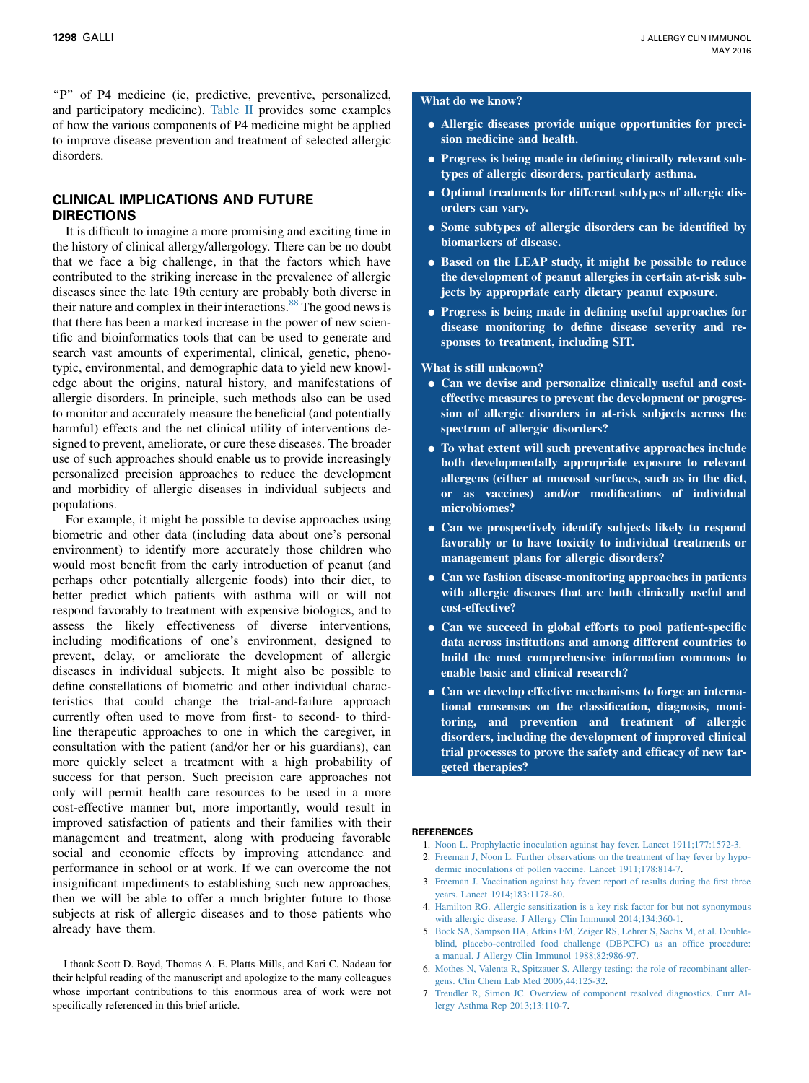<span id="page-9-0"></span>"P" of P4 medicine (ie, predictive, preventive, personalized, and participatory medicine). [Table II](#page-7-0) provides some examples of how the various components of P4 medicine might be applied to improve disease prevention and treatment of selected allergic disorders.

# CLINICAL IMPLICATIONS AND FUTURE DIRECTIONS

It is difficult to imagine a more promising and exciting time in the history of clinical allergy/allergology. There can be no doubt that we face a big challenge, in that the factors which have contributed to the striking increase in the prevalence of allergic diseases since the late 19th century are probably both diverse in their nature and complex in their interactions.<sup>[88](#page-11-0)</sup> The good news is that there has been a marked increase in the power of new scientific and bioinformatics tools that can be used to generate and search vast amounts of experimental, clinical, genetic, phenotypic, environmental, and demographic data to yield new knowledge about the origins, natural history, and manifestations of allergic disorders. In principle, such methods also can be used to monitor and accurately measure the beneficial (and potentially harmful) effects and the net clinical utility of interventions designed to prevent, ameliorate, or cure these diseases. The broader use of such approaches should enable us to provide increasingly personalized precision approaches to reduce the development and morbidity of allergic diseases in individual subjects and populations.

For example, it might be possible to devise approaches using biometric and other data (including data about one's personal environment) to identify more accurately those children who would most benefit from the early introduction of peanut (and perhaps other potentially allergenic foods) into their diet, to better predict which patients with asthma will or will not respond favorably to treatment with expensive biologics, and to assess the likely effectiveness of diverse interventions, including modifications of one's environment, designed to prevent, delay, or ameliorate the development of allergic diseases in individual subjects. It might also be possible to define constellations of biometric and other individual characteristics that could change the trial-and-failure approach currently often used to move from first- to second- to thirdline therapeutic approaches to one in which the caregiver, in consultation with the patient (and/or her or his guardians), can more quickly select a treatment with a high probability of success for that person. Such precision care approaches not only will permit health care resources to be used in a more cost-effective manner but, more importantly, would result in improved satisfaction of patients and their families with their management and treatment, along with producing favorable social and economic effects by improving attendance and performance in school or at work. If we can overcome the not insignificant impediments to establishing such new approaches, then we will be able to offer a much brighter future to those subjects at risk of allergic diseases and to those patients who already have them.

#### What do we know?

- <sup>d</sup> Allergic diseases provide unique opportunities for precision medicine and health.
- Progress is being made in defining clinically relevant subtypes of allergic disorders, particularly asthma.
- Optimal treatments for different subtypes of allergic disorders can vary.
- Some subtypes of allergic disorders can be identified by biomarkers of disease.
- Based on the LEAP study, it might be possible to reduce the development of peanut allergies in certain at-risk subjects by appropriate early dietary peanut exposure.
- <sup>d</sup> Progress is being made in defining useful approaches for disease monitoring to define disease severity and responses to treatment, including SIT.

### What is still unknown?

- Can we devise and personalize clinically useful and costeffective measures to prevent the development or progression of allergic disorders in at-risk subjects across the spectrum of allergic disorders?
- To what extent will such preventative approaches include both developmentally appropriate exposure to relevant allergens (either at mucosal surfaces, such as in the diet, or as vaccines) and/or modifications of individual microbiomes?
- Can we prospectively identify subjects likely to respond favorably or to have toxicity to individual treatments or management plans for allergic disorders?
- Can we fashion disease-monitoring approaches in patients with allergic diseases that are both clinically useful and cost-effective?
- Can we succeed in global efforts to pool patient-specific data across institutions and among different countries to build the most comprehensive information commons to enable basic and clinical research?
- Can we develop effective mechanisms to forge an international consensus on the classification, diagnosis, monitoring, and prevention and treatment of allergic disorders, including the development of improved clinical trial processes to prove the safety and efficacy of new targeted therapies?

#### **REFERENCES**

- 1. [Noon L. Prophylactic inoculation against hay fever. Lancet 1911;177:1572-3.](http://refhub.elsevier.com/S0091-6749(16)00431-0/sref1)
- 2. [Freeman J, Noon L. Further observations on the treatment of hay fever by hypo](http://refhub.elsevier.com/S0091-6749(16)00431-0/sref2)[dermic inoculations of pollen vaccine. Lancet 1911;178:814-7](http://refhub.elsevier.com/S0091-6749(16)00431-0/sref2).
- 3. [Freeman J. Vaccination against hay fever: report of results during the first three](http://refhub.elsevier.com/S0091-6749(16)00431-0/sref3) [years. Lancet 1914;183:1178-80.](http://refhub.elsevier.com/S0091-6749(16)00431-0/sref3)
- 4. [Hamilton RG. Allergic sensitization is a key risk factor for but not synonymous](http://refhub.elsevier.com/S0091-6749(16)00431-0/sref4) [with allergic disease. J Allergy Clin Immunol 2014;134:360-1](http://refhub.elsevier.com/S0091-6749(16)00431-0/sref4).
- 5. [Bock SA, Sampson HA, Atkins FM, Zeiger RS, Lehrer S, Sachs M, et al. Double](http://refhub.elsevier.com/S0091-6749(16)00431-0/sref5)[blind, placebo-controlled food challenge \(DBPCFC\) as an office procedure:](http://refhub.elsevier.com/S0091-6749(16)00431-0/sref5) [a manual. J Allergy Clin Immunol 1988;82:986-97](http://refhub.elsevier.com/S0091-6749(16)00431-0/sref5).
- 6. [Mothes N, Valenta R, Spitzauer S. Allergy testing: the role of recombinant aller](http://refhub.elsevier.com/S0091-6749(16)00431-0/sref6)[gens. Clin Chem Lab Med 2006;44:125-32.](http://refhub.elsevier.com/S0091-6749(16)00431-0/sref6)
- 7. [Treudler R, Simon JC. Overview of component resolved diagnostics. Curr Al](http://refhub.elsevier.com/S0091-6749(16)00431-0/sref7)[lergy Asthma Rep 2013;13:110-7](http://refhub.elsevier.com/S0091-6749(16)00431-0/sref7).

I thank Scott D. Boyd, Thomas A. E. Platts-Mills, and Kari C. Nadeau for their helpful reading of the manuscript and apologize to the many colleagues whose important contributions to this enormous area of work were not specifically referenced in this brief article.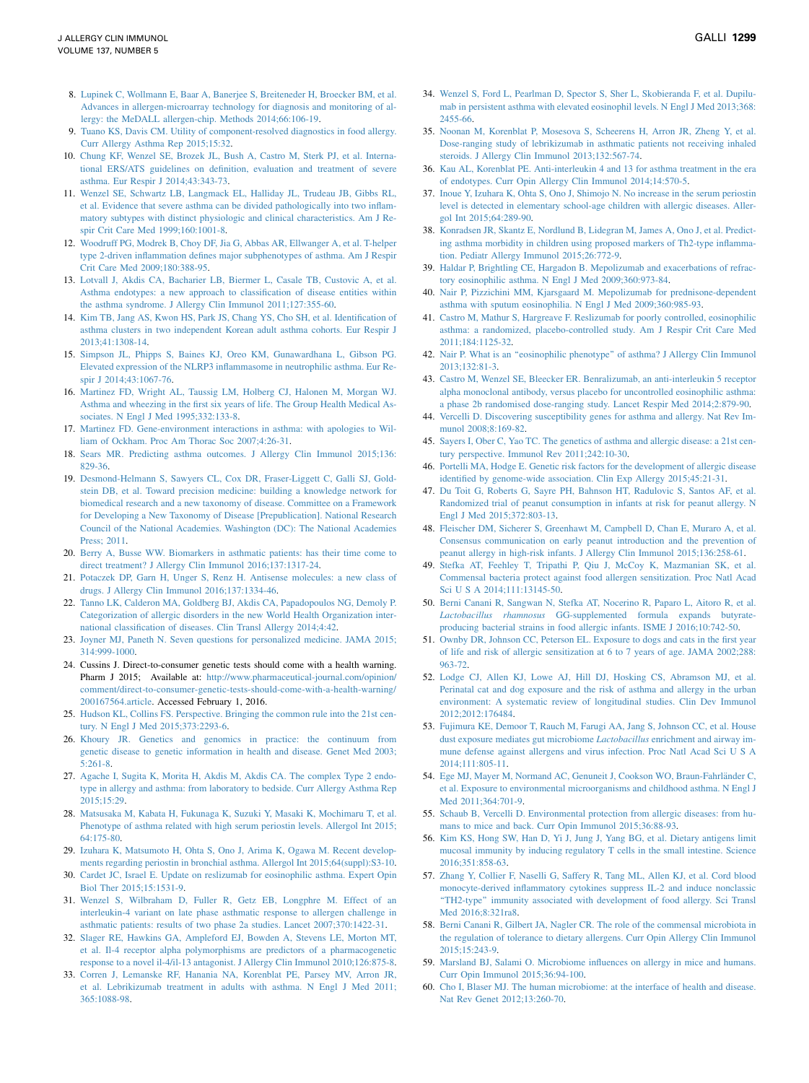- <span id="page-10-0"></span>8. [Lupinek C, Wollmann E, Baar A, Banerjee S, Breiteneder H, Broecker BM, et al.](http://refhub.elsevier.com/S0091-6749(16)00431-0/sref8) [Advances in allergen-microarray technology for diagnosis and monitoring of al](http://refhub.elsevier.com/S0091-6749(16)00431-0/sref8)[lergy: the MeDALL allergen-chip. Methods 2014;66:106-19](http://refhub.elsevier.com/S0091-6749(16)00431-0/sref8).
- 9. [Tuano KS, Davis CM. Utility of component-resolved diagnostics in food allergy.](http://refhub.elsevier.com/S0091-6749(16)00431-0/sref9) [Curr Allergy Asthma Rep 2015;15:32.](http://refhub.elsevier.com/S0091-6749(16)00431-0/sref9)
- 10. [Chung KF, Wenzel SE, Brozek JL, Bush A, Castro M, Sterk PJ, et al. Interna](http://refhub.elsevier.com/S0091-6749(16)00431-0/sref10)[tional ERS/ATS guidelines on definition, evaluation and treatment of severe](http://refhub.elsevier.com/S0091-6749(16)00431-0/sref10) [asthma. Eur Respir J 2014;43:343-73.](http://refhub.elsevier.com/S0091-6749(16)00431-0/sref10)
- 11. [Wenzel SE, Schwartz LB, Langmack EL, Halliday JL, Trudeau JB, Gibbs RL,](http://refhub.elsevier.com/S0091-6749(16)00431-0/sref11) [et al. Evidence that severe asthma can be divided pathologically into two inflam](http://refhub.elsevier.com/S0091-6749(16)00431-0/sref11)[matory subtypes with distinct physiologic and clinical characteristics. Am J Re](http://refhub.elsevier.com/S0091-6749(16)00431-0/sref11)[spir Crit Care Med 1999;160:1001-8.](http://refhub.elsevier.com/S0091-6749(16)00431-0/sref11)
- 12. [Woodruff PG, Modrek B, Choy DF, Jia G, Abbas AR, Ellwanger A, et al. T-helper](http://refhub.elsevier.com/S0091-6749(16)00431-0/sref12) [type 2-driven inflammation defines major subphenotypes of asthma. Am J Respir](http://refhub.elsevier.com/S0091-6749(16)00431-0/sref12) [Crit Care Med 2009;180:388-95](http://refhub.elsevier.com/S0091-6749(16)00431-0/sref12).
- 13. [Lotvall J, Akdis CA, Bacharier LB, Biermer L, Casale TB, Custovic A, et al.](http://refhub.elsevier.com/S0091-6749(16)00431-0/sref13) [Asthma endotypes: a new approach to classification of disease entities within](http://refhub.elsevier.com/S0091-6749(16)00431-0/sref13) [the asthma syndrome. J Allergy Clin Immunol 2011;127:355-60](http://refhub.elsevier.com/S0091-6749(16)00431-0/sref13).
- 14. [Kim TB, Jang AS, Kwon HS, Park JS, Chang YS, Cho SH, et al. Identification of](http://refhub.elsevier.com/S0091-6749(16)00431-0/sref14) [asthma clusters in two independent Korean adult asthma cohorts. Eur Respir J](http://refhub.elsevier.com/S0091-6749(16)00431-0/sref14) [2013;41:1308-14](http://refhub.elsevier.com/S0091-6749(16)00431-0/sref14).
- 15. [Simpson JL, Phipps S, Baines KJ, Oreo KM, Gunawardhana L, Gibson PG.](http://refhub.elsevier.com/S0091-6749(16)00431-0/sref15) [Elevated expression of the NLRP3 inflammasome in neutrophilic asthma. Eur Re](http://refhub.elsevier.com/S0091-6749(16)00431-0/sref15)spir J 2014:43:1067-76.
- 16. [Martinez FD, Wright AL, Taussig LM, Holberg CJ, Halonen M, Morgan WJ.](http://refhub.elsevier.com/S0091-6749(16)00431-0/sref16) [Asthma and wheezing in the first six years of life. The Group Health Medical As](http://refhub.elsevier.com/S0091-6749(16)00431-0/sref16)[sociates. N Engl J Med 1995;332:133-8.](http://refhub.elsevier.com/S0091-6749(16)00431-0/sref16)
- 17. [Martinez FD. Gene-environment interactions in asthma: with apologies to Wil](http://refhub.elsevier.com/S0091-6749(16)00431-0/sref17)[liam of Ockham. Proc Am Thorac Soc 2007;4:26-31](http://refhub.elsevier.com/S0091-6749(16)00431-0/sref17).
- 18. [Sears MR. Predicting asthma outcomes. J Allergy Clin Immunol 2015;136:](http://refhub.elsevier.com/S0091-6749(16)00431-0/sref18) [829-36.](http://refhub.elsevier.com/S0091-6749(16)00431-0/sref18)
- 19. [Desmond-Helmann S, Sawyers CL, Cox DR, Fraser-Liggett C, Galli SJ, Gold](http://refhub.elsevier.com/S0091-6749(16)00431-0/sref19)[stein DB, et al. Toward precision medicine: building a knowledge network for](http://refhub.elsevier.com/S0091-6749(16)00431-0/sref19) [biomedical research and a new taxonomy of disease. Committee on a Framework](http://refhub.elsevier.com/S0091-6749(16)00431-0/sref19) [for Developing a New Taxonomy of Disease \[Prepublication\]. National Research](http://refhub.elsevier.com/S0091-6749(16)00431-0/sref19) [Council of the National Academies. Washington \(DC\): The National Academies](http://refhub.elsevier.com/S0091-6749(16)00431-0/sref19) [Press; 2011.](http://refhub.elsevier.com/S0091-6749(16)00431-0/sref19)
- 20. [Berry A, Busse WW. Biomarkers in asthmatic patients: has their time come to](http://refhub.elsevier.com/S0091-6749(16)00431-0/sref20) [direct treatment? J Allergy Clin Immunol 2016;137:1317-24.](http://refhub.elsevier.com/S0091-6749(16)00431-0/sref20)
- 21. [Potaczek DP, Garn H, Unger S, Renz H. Antisense molecules: a new class of](http://refhub.elsevier.com/S0091-6749(16)00431-0/sref21) [drugs. J Allergy Clin Immunol 2016;137:1334-46.](http://refhub.elsevier.com/S0091-6749(16)00431-0/sref21)
- 22. [Tanno LK, Calderon MA, Goldberg BJ, Akdis CA, Papadopoulos NG, Demoly P.](http://refhub.elsevier.com/S0091-6749(16)00431-0/sref22) [Categorization of allergic disorders in the new World Health Organization inter](http://refhub.elsevier.com/S0091-6749(16)00431-0/sref22)[national classification of diseases. Clin Transl Allergy 2014;4:42](http://refhub.elsevier.com/S0091-6749(16)00431-0/sref22).
- 23. [Joyner MJ, Paneth N. Seven questions for personalized medicine. JAMA 2015;](http://refhub.elsevier.com/S0091-6749(16)00431-0/sref23) [314:999-1000](http://refhub.elsevier.com/S0091-6749(16)00431-0/sref23).
- 24. Cussins J. Direct-to-consumer genetic tests should come with a health warning. Pharm J 2015; Available at: [http://www.pharmaceutical-journal.com/opinion/](http://www.pharmaceutical-journal.com/opinion/comment/direct-to-consumer-genetic-tests-should-come-with-a-health-warning/200167564.article) [comment/direct-to-consumer-genetic-tests-should-come-with-a-health-warning/](http://www.pharmaceutical-journal.com/opinion/comment/direct-to-consumer-genetic-tests-should-come-with-a-health-warning/200167564.article) [200167564.article.](http://www.pharmaceutical-journal.com/opinion/comment/direct-to-consumer-genetic-tests-should-come-with-a-health-warning/200167564.article) Accessed February 1, 2016.
- 25. [Hudson KL, Collins FS. Perspective. Bringing the common rule into the 21st cen](http://refhub.elsevier.com/S0091-6749(16)00431-0/sref25)[tury. N Engl J Med 2015;373:2293-6](http://refhub.elsevier.com/S0091-6749(16)00431-0/sref25).
- 26. [Khoury JR. Genetics and genomics in practice: the continuum from](http://refhub.elsevier.com/S0091-6749(16)00431-0/sref26) [genetic disease to genetic information in health and disease. Genet Med 2003;](http://refhub.elsevier.com/S0091-6749(16)00431-0/sref26) [5:261-8.](http://refhub.elsevier.com/S0091-6749(16)00431-0/sref26)
- 27. [Agache I, Sugita K, Morita H, Akdis M, Akdis CA. The complex Type 2 endo](http://refhub.elsevier.com/S0091-6749(16)00431-0/sref27)[type in allergy and asthma: from laboratory to bedside. Curr Allergy Asthma Rep](http://refhub.elsevier.com/S0091-6749(16)00431-0/sref27) [2015;15:29.](http://refhub.elsevier.com/S0091-6749(16)00431-0/sref27)
- 28. [Matsusaka M, Kabata H, Fukunaga K, Suzuki Y, Masaki K, Mochimaru T, et al.](http://refhub.elsevier.com/S0091-6749(16)00431-0/sref28) [Phenotype of asthma related with high serum periostin levels. Allergol Int 2015;](http://refhub.elsevier.com/S0091-6749(16)00431-0/sref28) [64:175-80.](http://refhub.elsevier.com/S0091-6749(16)00431-0/sref28)
- 29. [Izuhara K, Matsumoto H, Ohta S, Ono J, Arima K, Ogawa M. Recent develop](http://refhub.elsevier.com/S0091-6749(16)00431-0/sref29)[ments regarding periostin in bronchial asthma. Allergol Int 2015;64\(suppl\):S3-10](http://refhub.elsevier.com/S0091-6749(16)00431-0/sref29).
- 30. [Cardet JC, Israel E. Update on reslizumab for eosinophilic asthma. Expert Opin](http://refhub.elsevier.com/S0091-6749(16)00431-0/sref30) [Biol Ther 2015;15:1531-9.](http://refhub.elsevier.com/S0091-6749(16)00431-0/sref30)
- 31. [Wenzel S, Wilbraham D, Fuller R, Getz EB, Longphre M. Effect of an](http://refhub.elsevier.com/S0091-6749(16)00431-0/sref31) interleukin-4 [variant on late phase asthmatic response to allergen challenge in](http://refhub.elsevier.com/S0091-6749(16)00431-0/sref31) [asthmatic patients: results of two phase 2a studies. Lancet 2007;370:1422-31.](http://refhub.elsevier.com/S0091-6749(16)00431-0/sref31)
- 32. [Slager RE, Hawkins GA, Ampleford EJ, Bowden A, Stevens LE, Morton MT,](http://refhub.elsevier.com/S0091-6749(16)00431-0/sref32) [et al. Il-4 receptor alpha polymorphisms are predictors of a pharmacogenetic](http://refhub.elsevier.com/S0091-6749(16)00431-0/sref32) [response to a novel il-4/il-13 antagonist. J Allergy Clin Immunol 2010;126:875-8](http://refhub.elsevier.com/S0091-6749(16)00431-0/sref32).
- 33. [Corren J, Lemanske RF, Hanania NA, Korenblat PE, Parsey MV, Arron JR,](http://refhub.elsevier.com/S0091-6749(16)00431-0/sref33) [et al. Lebrikizumab treatment in adults with asthma. N Engl J Med 2011;](http://refhub.elsevier.com/S0091-6749(16)00431-0/sref33) [365:1088-98.](http://refhub.elsevier.com/S0091-6749(16)00431-0/sref33)
- 35. [Noonan M, Korenblat P, Mosesova S, Scheerens H, Arron JR, Zheng Y, et al.](http://refhub.elsevier.com/S0091-6749(16)00431-0/sref35) [Dose-ranging study of lebrikizumab in asthmatic patients not receiving inhaled](http://refhub.elsevier.com/S0091-6749(16)00431-0/sref35) [steroids. J Allergy Clin Immunol 2013;132:567-74.](http://refhub.elsevier.com/S0091-6749(16)00431-0/sref35)
- 36. [Kau AL, Korenblat PE. Anti-interleukin 4 and 13 for asthma treatment in the era](http://refhub.elsevier.com/S0091-6749(16)00431-0/sref36) [of endotypes. Curr Opin Allergy Clin Immunol 2014;14:570-5](http://refhub.elsevier.com/S0091-6749(16)00431-0/sref36).
- 37. [Inoue Y, Izuhara K, Ohta S, Ono J, Shimojo N. No increase in the serum periostin](http://refhub.elsevier.com/S0091-6749(16)00431-0/sref37) [level is detected in elementary school-age children with allergic diseases. Aller](http://refhub.elsevier.com/S0091-6749(16)00431-0/sref37)[gol Int 2015;64:289-90](http://refhub.elsevier.com/S0091-6749(16)00431-0/sref37).
- 38. [Konradsen JR, Skantz E, Nordlund B, Lidegran M, James A, Ono J, et al. Predict](http://refhub.elsevier.com/S0091-6749(16)00431-0/sref38)[ing asthma morbidity in children using proposed markers of Th2-type inflamma](http://refhub.elsevier.com/S0091-6749(16)00431-0/sref38)[tion. Pediatr Allergy Immunol 2015;26:772-9.](http://refhub.elsevier.com/S0091-6749(16)00431-0/sref38)
- 39. [Haldar P, Brightling CE, Hargadon B. Mepolizumab and exacerbations of refrac](http://refhub.elsevier.com/S0091-6749(16)00431-0/sref39)[tory eosinophilic asthma. N Engl J Med 2009;360:973-84](http://refhub.elsevier.com/S0091-6749(16)00431-0/sref39).
- 40. [Nair P, Pizzichini MM, Kjarsgaard M. Mepolizumab for prednisone-dependent](http://refhub.elsevier.com/S0091-6749(16)00431-0/sref40) [asthma with sputum eosinophilia. N Engl J Med 2009;360:985-93](http://refhub.elsevier.com/S0091-6749(16)00431-0/sref40).
- 41. [Castro M, Mathur S, Hargreave F. Reslizumab for poorly controlled, eosinophilic](http://refhub.elsevier.com/S0091-6749(16)00431-0/sref41) [asthma: a randomized, placebo-controlled study. Am J Respir Crit Care Med](http://refhub.elsevier.com/S0091-6749(16)00431-0/sref41) [2011;184:1125-32.](http://refhub.elsevier.com/S0091-6749(16)00431-0/sref41)
- 42. [Nair P. What is an ''eosinophilic phenotype'' of asthma? J Allergy Clin Immunol](http://refhub.elsevier.com/S0091-6749(16)00431-0/sref42) [2013;132:81-3](http://refhub.elsevier.com/S0091-6749(16)00431-0/sref42).
- 43. [Castro M, Wenzel SE, Bleecker ER. Benralizumab, an anti-interleukin 5 receptor](http://refhub.elsevier.com/S0091-6749(16)00431-0/sref43) [alpha monoclonal antibody, versus placebo for uncontrolled eosinophilic asthma:](http://refhub.elsevier.com/S0091-6749(16)00431-0/sref43) [a phase 2b randomised dose-ranging study. Lancet Respir Med 2014;2:879-90.](http://refhub.elsevier.com/S0091-6749(16)00431-0/sref43)
- 44. [Vercelli D. Discovering susceptibility genes for asthma and allergy. Nat Rev Im](http://refhub.elsevier.com/S0091-6749(16)00431-0/sref44)[munol 2008;8:169-82](http://refhub.elsevier.com/S0091-6749(16)00431-0/sref44).
- 45. [Sayers I, Ober C, Yao TC. The genetics of asthma and allergic disease: a 21st cen](http://refhub.elsevier.com/S0091-6749(16)00431-0/sref45)[tury perspective. Immunol Rev 2011;242:10-30](http://refhub.elsevier.com/S0091-6749(16)00431-0/sref45).
- 46. [Portelli MA, Hodge E. Genetic risk factors for the development of allergic disease](http://refhub.elsevier.com/S0091-6749(16)00431-0/sref46) [identified by genome-wide association. Clin Exp Allergy 2015;45:21-31](http://refhub.elsevier.com/S0091-6749(16)00431-0/sref46).
- 47. [Du Toit G, Roberts G, Sayre PH, Bahnson HT, Radulovic S, Santos AF, et al.](http://refhub.elsevier.com/S0091-6749(16)00431-0/sref47) [Randomized trial of peanut consumption in infants at risk for peanut allergy. N](http://refhub.elsevier.com/S0091-6749(16)00431-0/sref47) [Engl J Med 2015;372:803-13.](http://refhub.elsevier.com/S0091-6749(16)00431-0/sref47)
- 48. [Fleischer DM, Sicherer S, Greenhawt M, Campbell D, Chan E, Muraro A, et al.](http://refhub.elsevier.com/S0091-6749(16)00431-0/sref48) [Consensus communication on early peanut introduction and the prevention of](http://refhub.elsevier.com/S0091-6749(16)00431-0/sref48) [peanut allergy in high-risk infants. J Allergy Clin Immunol 2015;136:258-61.](http://refhub.elsevier.com/S0091-6749(16)00431-0/sref48)
- 49. [Stefka AT, Feehley T, Tripathi P, Qiu J, McCoy K, Mazmanian SK, et al.](http://refhub.elsevier.com/S0091-6749(16)00431-0/sref49) [Commensal bacteria protect against food allergen sensitization. Proc Natl Acad](http://refhub.elsevier.com/S0091-6749(16)00431-0/sref49) [Sci U S A 2014;111:13145-50](http://refhub.elsevier.com/S0091-6749(16)00431-0/sref49).
- 50. [Berni Canani R, Sangwan N, Stefka AT, Nocerino R, Paparo L, Aitoro R, et al.](http://refhub.elsevier.com/S0091-6749(16)00431-0/sref50) Lactobacillus rhamnosus [GG-supplemented formula expands butyrate](http://refhub.elsevier.com/S0091-6749(16)00431-0/sref50)[producing bacterial strains in food allergic infants. ISME J 2016;10:742-50.](http://refhub.elsevier.com/S0091-6749(16)00431-0/sref50)
- 51. [Ownby DR, Johnson CC, Peterson EL. Exposure to dogs and cats in the first year](http://refhub.elsevier.com/S0091-6749(16)00431-0/sref51) [of life and risk of allergic sensitization at 6 to 7 years of age. JAMA 2002;288:](http://refhub.elsevier.com/S0091-6749(16)00431-0/sref51) [963-72.](http://refhub.elsevier.com/S0091-6749(16)00431-0/sref51)
- 52. [Lodge CJ, Allen KJ, Lowe AJ, Hill DJ, Hosking CS, Abramson MJ, et al.](http://refhub.elsevier.com/S0091-6749(16)00431-0/sref52) [Perinatal cat and dog exposure and the risk of asthma and allergy in the urban](http://refhub.elsevier.com/S0091-6749(16)00431-0/sref52) [environment: A systematic review of longitudinal studies. Clin Dev Immunol](http://refhub.elsevier.com/S0091-6749(16)00431-0/sref52) [2012;2012:176484.](http://refhub.elsevier.com/S0091-6749(16)00431-0/sref52)
- 53. [Fujimura KE, Demoor T, Rauch M, Farugi AA, Jang S, Johnson CC, et al. House](http://refhub.elsevier.com/S0091-6749(16)00431-0/sref53) [dust exposure mediates gut microbiome](http://refhub.elsevier.com/S0091-6749(16)00431-0/sref53) Lactobacillus enrichment and airway im[mune defense against allergens and virus infection. Proc Natl Acad Sci U S A](http://refhub.elsevier.com/S0091-6749(16)00431-0/sref53) [2014;111:805-11](http://refhub.elsevier.com/S0091-6749(16)00431-0/sref53).
- 54. Ege [MJ, Mayer M, Normand AC, Genuneit J, Cookson WO, Braun-Fahrl](http://refhub.elsevier.com/S0091-6749(16)00431-0/sref54)änder C, [et al. Exposure to environmental microorganisms and childhood asthma. N Engl J](http://refhub.elsevier.com/S0091-6749(16)00431-0/sref54) [Med 2011;364:701-9.](http://refhub.elsevier.com/S0091-6749(16)00431-0/sref54)
- 55. [Schaub B, Vercelli D. Environmental protection from allergic diseases: from hu](http://refhub.elsevier.com/S0091-6749(16)00431-0/sref55)[mans to mice and back. Curr Opin Immunol 2015;36:88-93](http://refhub.elsevier.com/S0091-6749(16)00431-0/sref55).
- 56. [Kim KS, Hong SW, Han D, Yi J, Jung J, Yang BG, et al. Dietary antigens limit](http://refhub.elsevier.com/S0091-6749(16)00431-0/sref56) [mucosal immunity by inducing regulatory T cells in the small intestine. Science](http://refhub.elsevier.com/S0091-6749(16)00431-0/sref56) [2016;351:858-63](http://refhub.elsevier.com/S0091-6749(16)00431-0/sref56).
- 57. [Zhang Y, Collier F, Naselli G, Saffery R, Tang ML, Allen KJ, et al. Cord blood](http://refhub.elsevier.com/S0091-6749(16)00431-0/sref57) [monocyte-derived inflammatory cytokines suppress IL-2 and induce nonclassic](http://refhub.elsevier.com/S0091-6749(16)00431-0/sref57) [''TH2-type'' immunity associated with development of food allergy. Sci Transl](http://refhub.elsevier.com/S0091-6749(16)00431-0/sref57) [Med 2016;8:321ra8](http://refhub.elsevier.com/S0091-6749(16)00431-0/sref57).
- 58. [Berni Canani R, Gilbert JA, Nagler CR. The role of the commensal microbiota in](http://refhub.elsevier.com/S0091-6749(16)00431-0/sref58) [the regulation of tolerance to dietary allergens. Curr Opin Allergy Clin Immunol](http://refhub.elsevier.com/S0091-6749(16)00431-0/sref58) [2015;15:243-9](http://refhub.elsevier.com/S0091-6749(16)00431-0/sref58).
- 59. [Marsland BJ, Salami O. Microbiome influences on allergy in mice and humans.](http://refhub.elsevier.com/S0091-6749(16)00431-0/sref59) [Curr Opin Immunol 2015;36:94-100](http://refhub.elsevier.com/S0091-6749(16)00431-0/sref59).
- 60. [Cho I, Blaser MJ. The human microbiome: at the interface of health and disease.](http://refhub.elsevier.com/S0091-6749(16)00431-0/sref60) [Nat Rev Genet 2012;13:260-70.](http://refhub.elsevier.com/S0091-6749(16)00431-0/sref60)